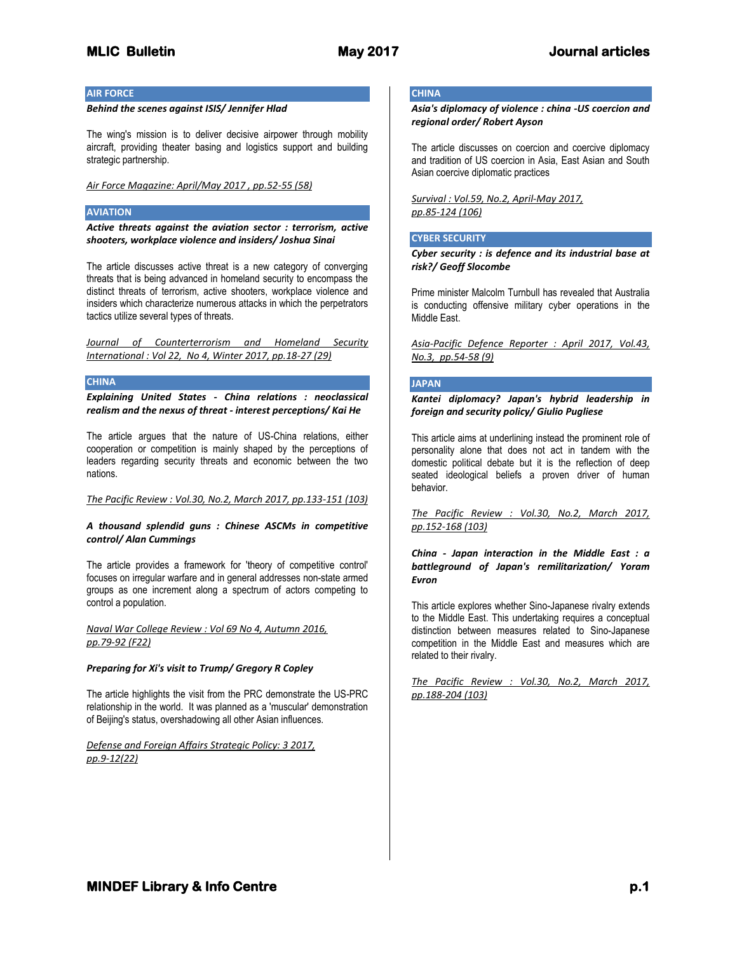## **AIR FORCE**

## *Behind the scenes against ISIS/ Jennifer Hlad*

The wing's mission is to deliver decisive airpower through mobility aircraft, providing theater basing and logistics support and building strategic partnership.

## *Air Force Magazine: April/May 2017 , pp.52-55 (58)*

## **AVIATION**

*Active threats against the aviation sector : terrorism, active shooters, workplace violence and insiders/ Joshua Sinai*

The article discusses active threat is a new category of converging threats that is being advanced in homeland security to encompass the distinct threats of terrorism, active shooters, workplace violence and insiders which characterize numerous attacks in which the perpetrators tactics utilize several types of threats.

*Journal of Counterterrorism and Homeland Security International : Vol 22, No 4, Winter 2017, pp.18-27 (29)*

## **CHINA**

*Explaining United States - China relations : neoclassical realism and the nexus of threat - interest perceptions/ Kai He*

The article argues that the nature of US-China relations, either cooperation or competition is mainly shaped by the perceptions of leaders regarding security threats and economic between the two nations.

*The Pacific Review : Vol.30, No.2, March 2017, pp.133-151 (103)*

## *A thousand splendid guns : Chinese ASCMs in competitive control/ Alan Cummings*

The article provides a framework for 'theory of competitive control' focuses on irregular warfare and in general addresses non-state armed groups as one increment along a spectrum of actors competing to control a population.

*Naval War College Review : Vol 69 No 4, Autumn 2016, pp.79-92 (F22)*

#### *Preparing for Xi's visit to Trump/ Gregory R Copley*

The article highlights the visit from the PRC demonstrate the US-PRC relationship in the world. It was planned as a 'muscular' demonstration of Beijing's status, overshadowing all other Asian influences.

*Defense and Foreign Affairs Strategic Policy: 3 2017, pp.9-12(22)*

# **CHINA**

*Asia's diplomacy of violence : china -US coercion and regional order/ Robert Ayson*

The article discusses on coercion and coercive diplomacy and tradition of US coercion in Asia, East Asian and South Asian coercive diplomatic practices

*Survival : Vol.59, No.2, April-May 2017, pp.85-124 (106)*

## **CYBER SECURITY**

*Cyber security : is defence and its industrial base at risk?/ Geoff Slocombe*

Prime minister Malcolm Turnbull has revealed that Australia is conducting offensive military cyber operations in the Middle East.

*Asia-Pacific Defence Reporter : April 2017, Vol.43, No.3, pp.54-58 (9)*

## **JAPAN**

*Kantei diplomacy? Japan's hybrid leadership in foreign and security policy/ Giulio Pugliese*

This article aims at underlining instead the prominent role of personality alone that does not act in tandem with the domestic political debate but it is the reflection of deep seated ideological beliefs a proven driver of human behavior.

*The Pacific Review : Vol.30, No.2, March 2017, pp.152-168 (103)*

## *China - Japan interaction in the Middle East : a battleground of Japan's remilitarization/ Yoram Evron*

This article explores whether Sino-Japanese rivalry extends to the Middle East. This undertaking requires a conceptual distinction between measures related to Sino-Japanese competition in the Middle East and measures which are related to their rivalry.

*The Pacific Review : Vol.30, No.2, March 2017, pp.188-204 (103)*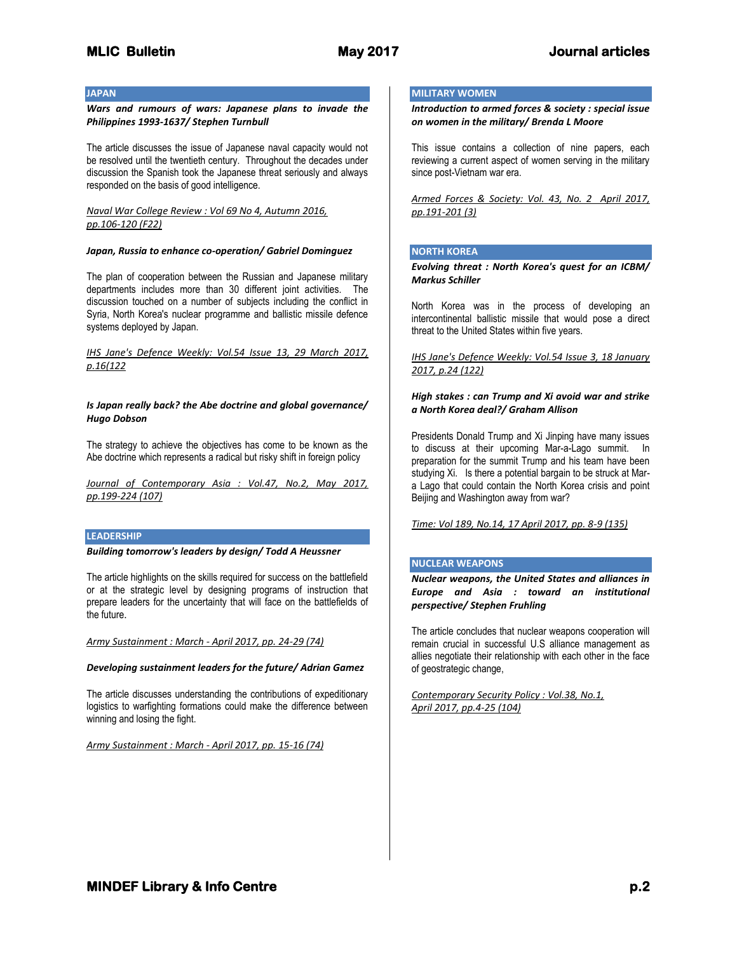## **JAPAN**

## *Wars and rumours of wars: Japanese plans to invade the Philippines 1993-1637/ Stephen Turnbull*

The article discusses the issue of Japanese naval capacity would not be resolved until the twentieth century. Throughout the decades under discussion the Spanish took the Japanese threat seriously and always responded on the basis of good intelligence.

## *Naval War College Review : Vol 69 No 4, Autumn 2016, pp.106-120 (F22)*

#### *Japan, Russia to enhance co-operation/ Gabriel Dominguez*

The plan of cooperation between the Russian and Japanese military departments includes more than 30 different joint activities. The discussion touched on a number of subjects including the conflict in Syria, North Korea's nuclear programme and ballistic missile defence systems deployed by Japan.

*IHS Jane's Defence Weekly: Vol.54 Issue 13, 29 March 2017, p.16(122*

## *Is Japan really back? the Abe doctrine and global governance/ Hugo Dobson*

The strategy to achieve the objectives has come to be known as the Abe doctrine which represents a radical but risky shift in foreign policy

*Journal of Contemporary Asia : Vol.47, No.2, May 2017, pp.199-224 (107)*

#### **LEADERSHIP**

*Building tomorrow's leaders by design/ Todd A Heussner*

The article highlights on the skills required for success on the battlefield or at the strategic level by designing programs of instruction that prepare leaders for the uncertainty that will face on the battlefields of the future.

*Army Sustainment : March - April 2017, pp. 24-29 (74)* 

#### *Developing sustainment leaders for the future/ Adrian Gamez*

The article discusses understanding the contributions of expeditionary logistics to warfighting formations could make the difference between winning and losing the fight.

*Army Sustainment : March - April 2017, pp. 15-16 (74)*

## **MILITARY WOMEN**

*Introduction to armed forces & society : special issue on women in the military/ Brenda L Moore*

This issue contains a collection of nine papers, each reviewing a current aspect of women serving in the military since post-Vietnam war era.

*Armed Forces & Society: Vol. 43, No. 2 April 2017, pp.191-201 (3)*

## **NORTH KOREA**

*Evolving threat : North Korea's quest for an ICBM/ Markus Schiller*

North Korea was in the process of developing an intercontinental ballistic missile that would pose a direct threat to the United States within five years.

## *IHS Jane's Defence Weekly: Vol.54 Issue 3, 18 January 2017, p.24 (122)*

## *High stakes : can Trump and Xi avoid war and strike a North Korea deal?/ Graham Allison*

Presidents Donald Trump and Xi Jinping have many issues to discuss at their upcoming Mar-a-Lago summit. In preparation for the summit Trump and his team have been studying Xi. Is there a potential bargain to be struck at Mara Lago that could contain the North Korea crisis and point Beijing and Washington away from war?

*Time: Vol 189, No.14, 17 April 2017, pp. 8-9 (135)*

#### **NUCLEAR WEAPONS**

*Nuclear weapons, the United States and alliances in Europe and Asia : toward an institutional perspective/ Stephen Fruhling*

The article concludes that nuclear weapons cooperation will remain crucial in successful U.S alliance management as allies negotiate their relationship with each other in the face of geostrategic change,

*Contemporary Security Policy : Vol.38, No.1, April 2017, pp.4-25 (104)*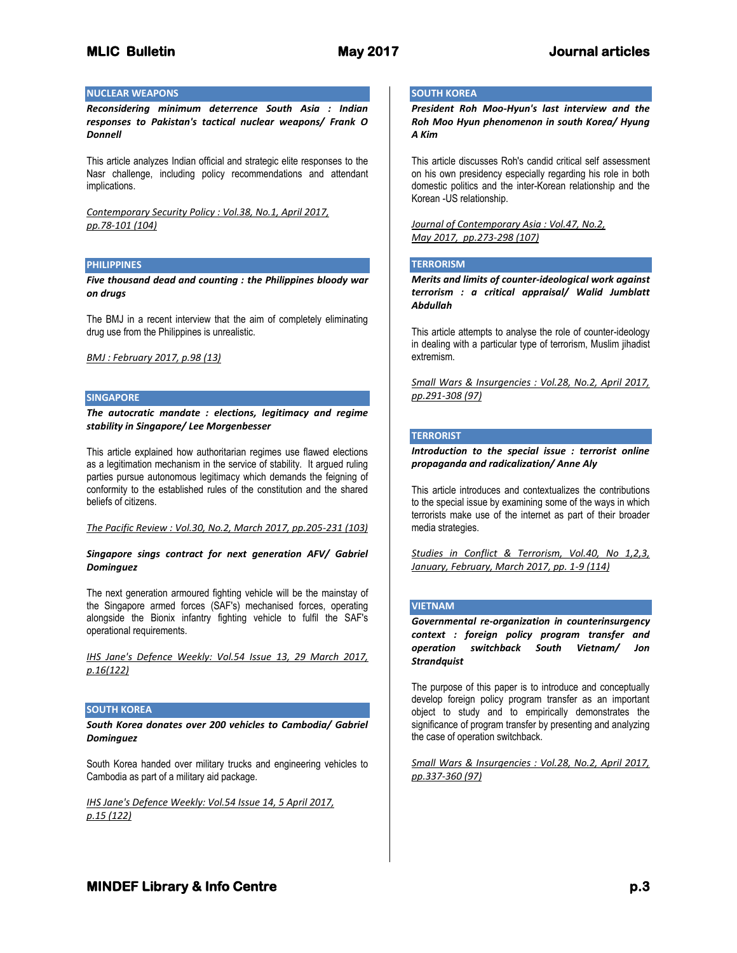#### **NUCLEAR WEAPONS**

*Reconsidering minimum deterrence South Asia : Indian responses to Pakistan's tactical nuclear weapons/ Frank O Donnell*

This article analyzes Indian official and strategic elite responses to the Nasr challenge, including policy recommendations and attendant implications.

*Contemporary Security Policy : Vol.38, No.1, April 2017, pp.78-101 (104)*

#### **PHILIPPINES**

*Five thousand dead and counting : the Philippines bloody war on drugs*

The BMJ in a recent interview that the aim of completely eliminating drug use from the Philippines is unrealistic.

*BMJ : February 2017, p.98 (13)*

#### **SINGAPORE**

*The autocratic mandate : elections, legitimacy and regime stability in Singapore/ Lee Morgenbesser*

This article explained how authoritarian regimes use flawed elections as a legitimation mechanism in the service of stability. It argued ruling parties pursue autonomous legitimacy which demands the feigning of conformity to the established rules of the constitution and the shared beliefs of citizens.

*The Pacific Review : Vol.30, No.2, March 2017, pp.205-231 (103)*

## *Singapore sings contract for next generation AFV/ Gabriel Dominguez*

The next generation armoured fighting vehicle will be the mainstay of the Singapore armed forces (SAF's) mechanised forces, operating alongside the Bionix infantry fighting vehicle to fulfil the SAF's operational requirements.

*IHS Jane's Defence Weekly: Vol.54 Issue 13, 29 March 2017, p.16(122)*

## **SOUTH KOREA**

*South Korea donates over 200 vehicles to Cambodia/ Gabriel Dominguez*

South Korea handed over military trucks and engineering vehicles to Cambodia as part of a military aid package.

*IHS Jane's Defence Weekly: Vol.54 Issue 14, 5 April 2017, p.15 (122)*

# **SOUTH KOREA**

*President Roh Moo-Hyun's last interview and the Roh Moo Hyun phenomenon in south Korea/ Hyung A Kim*

This article discusses Roh's candid critical self assessment on his own presidency especially regarding his role in both domestic politics and the inter-Korean relationship and the Korean -US relationship.

*Journal of Contemporary Asia : Vol.47, No.2, May 2017, pp.273-298 (107)*

## **TERRORISM**

*Merits and limits of counter-ideological work against terrorism : a critical appraisal/ Walid Jumblatt Abdullah*

This article attempts to analyse the role of counter-ideology in dealing with a particular type of terrorism, Muslim jihadist extremism.

*Small Wars & Insurgencies : Vol.28, No.2, April 2017, pp.291-308 (97)*

## **TERRORIST**

*Introduction to the special issue : terrorist online propaganda and radicalization/ Anne Aly*

This article introduces and contextualizes the contributions to the special issue by examining some of the ways in which terrorists make use of the internet as part of their broader media strategies.

*Studies in Conflict & Terrorism, Vol.40, No 1,2,3, January, February, March 2017, pp. 1-9 (114)*

#### **VIETNAM**

*Governmental re-organization in counterinsurgency context : foreign policy program transfer and operation switchback South Vietnam/ Jon Strandquist*

The purpose of this paper is to introduce and conceptually develop foreign policy program transfer as an important object to study and to empirically demonstrates the significance of program transfer by presenting and analyzing the case of operation switchback.

*Small Wars & Insurgencies : Vol.28, No.2, April 2017, pp.337-360 (97)*